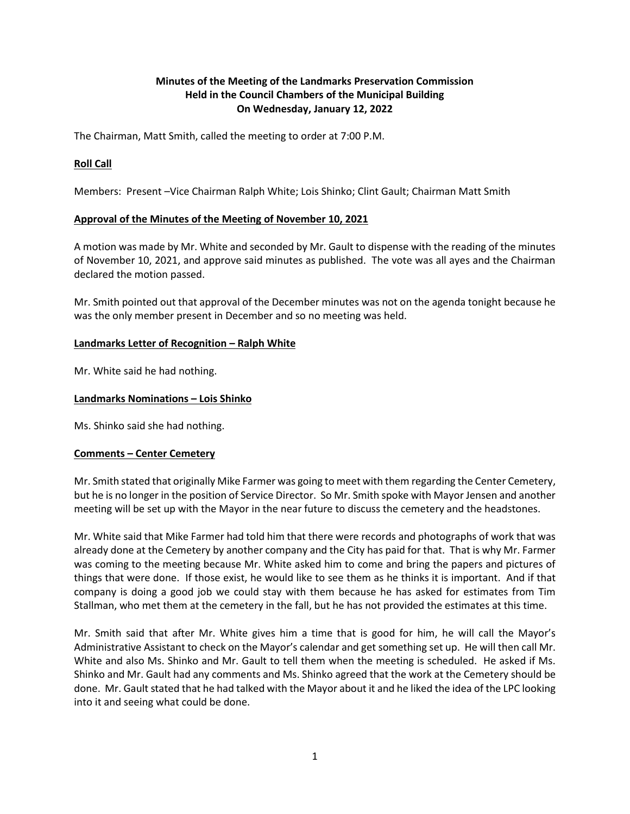# **Minutes of the Meeting of the Landmarks Preservation Commission Held in the Council Chambers of the Municipal Building On Wednesday, January 12, 2022**

The Chairman, Matt Smith, called the meeting to order at 7:00 P.M.

## **Roll Call**

Members: Present –Vice Chairman Ralph White; Lois Shinko; Clint Gault; Chairman Matt Smith

## **Approval of the Minutes of the Meeting of November 10, 2021**

A motion was made by Mr. White and seconded by Mr. Gault to dispense with the reading of the minutes of November 10, 2021, and approve said minutes as published. The vote was all ayes and the Chairman declared the motion passed.

Mr. Smith pointed out that approval of the December minutes was not on the agenda tonight because he was the only member present in December and so no meeting was held.

### **Landmarks Letter of Recognition – Ralph White**

Mr. White said he had nothing.

### **Landmarks Nominations – Lois Shinko**

Ms. Shinko said she had nothing.

## **Comments – Center Cemetery**

Mr. Smith stated that originally Mike Farmer was going to meet with them regarding the Center Cemetery, but he is no longer in the position of Service Director. So Mr. Smith spoke with Mayor Jensen and another meeting will be set up with the Mayor in the near future to discuss the cemetery and the headstones.

Mr. White said that Mike Farmer had told him that there were records and photographs of work that was already done at the Cemetery by another company and the City has paid for that. That is why Mr. Farmer was coming to the meeting because Mr. White asked him to come and bring the papers and pictures of things that were done. If those exist, he would like to see them as he thinks it is important. And if that company is doing a good job we could stay with them because he has asked for estimates from Tim Stallman, who met them at the cemetery in the fall, but he has not provided the estimates at this time.

Mr. Smith said that after Mr. White gives him a time that is good for him, he will call the Mayor's Administrative Assistant to check on the Mayor's calendar and get something set up. He will then call Mr. White and also Ms. Shinko and Mr. Gault to tell them when the meeting is scheduled. He asked if Ms. Shinko and Mr. Gault had any comments and Ms. Shinko agreed that the work at the Cemetery should be done. Mr. Gault stated that he had talked with the Mayor about it and he liked the idea of the LPC looking into it and seeing what could be done.